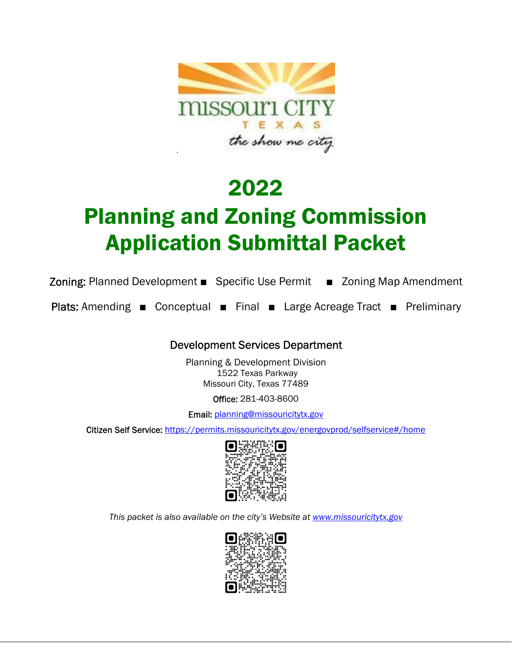

# 2022

# Planning and Zoning Commission Application Submittal Packet

Zoning: Planned Development ■ Specific Use Permit ■ Zoning Map Amendment

Plats: Amending ■ Conceptual ■ Final ■ Large Acreage Tract ■ Preliminary

## Development Services Department

Planning & Development Division 1522 Texas Parkway Missouri City, Texas 77489

Office: 281-403-8600

Email: planning@missouricitytx.gov

Citizen Self Service: https://permits.missouricitytx.gov/energovprod/selfservice#/home



*This packet is also available on the city's Website at www.missouricitytx.gov* 

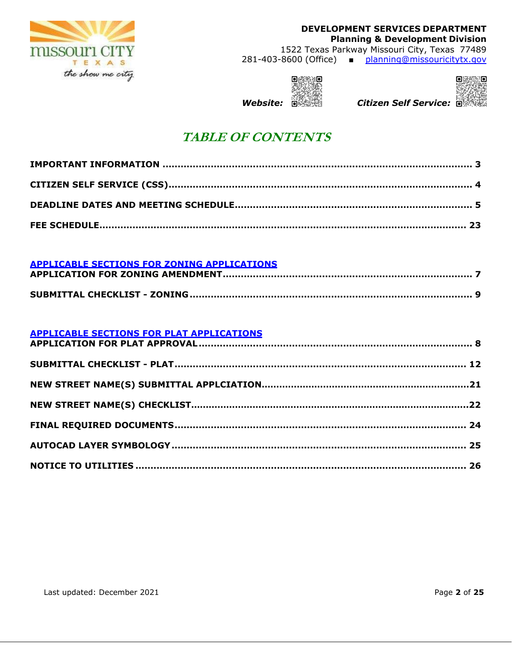

1522 Texas Parkway Missouri City, Texas 77489 281-403-8600 (Office) ■ planning@missouricitytx.gov





### *Website: Citizen Self Service:*

# **TABLE OF CONTENTS**

### **APPLICABLE SECTIONS FOR ZONING APPLICATIONS**

### **APPLICABLE SECTIONS FOR PLAT APPLICATIONS**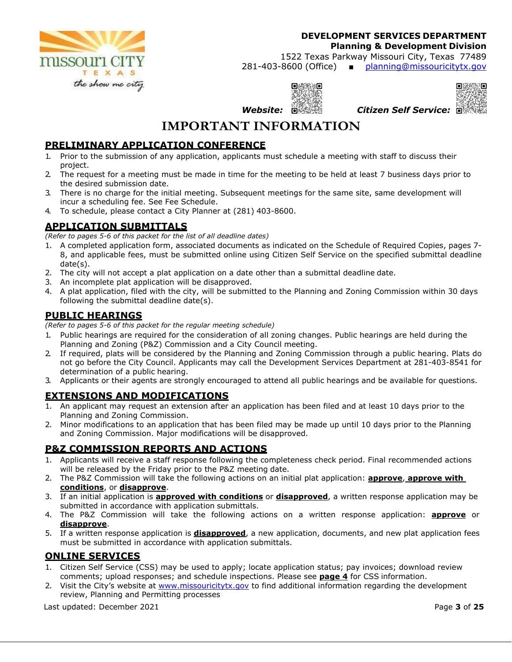

**Planning & Development Division** 

1522 Texas Parkway Missouri City, Texas 77489 281-403-8600 (Office) ■ planning@missouricitytx.gov





 *Website: Citizen Self Service:* 

# **IMPORTANT INFORMATION**

### **PRELIMINARY APPLICATION CONFERENCE**

- 1. Prior to the submission of any application, applicants must schedule a meeting with staff to discuss their project.
- 2. The request for a meeting must be made in time for the meeting to be held at least 7 business days prior to the desired submission date.
- 3. There is no charge for the initial meeting. Subsequent meetings for the same site, same development will incur a scheduling fee. See Fee Schedule.
- 4. To schedule, please contact a City Planner at (281) 403-8600.

### **APPLICATION SUBMITTALS**

*(Refer to pages 5-6 of this packet for the list of all deadline dates)* 

- 1. A completed application form, associated documents as indicated on the Schedule of Required Copies, pages 7- 8, and applicable fees, must be submitted online using Citizen Self Service on the specified submittal deadline date(s).
- 2. The city will not accept a plat application on a date other than a submittal deadline date.
- 3. An incomplete plat application will be disapproved.
- 4. A plat application, filed with the city, will be submitted to the Planning and Zoning Commission within 30 days following the submittal deadline date(s).

### **PUBLIC HEARINGS**

*(Refer to pages 5-6 of this packet for the regular meeting schedule)* 

- 1. Public hearings are required for the consideration of all zoning changes. Public hearings are held during the Planning and Zoning (P&Z) Commission and a City Council meeting.
- 2. If required, plats will be considered by the Planning and Zoning Commission through a public hearing. Plats do not go before the City Council. Applicants may call the Development Services Department at 281-403-8541 for determination of a public hearing.
- 3. Applicants or their agents are strongly encouraged to attend all public hearings and be available for questions.

### **EXTENSIONS AND MODIFICATIONS**

- 1. An applicant may request an extension after an application has been filed and at least 10 days prior to the Planning and Zoning Commission.
- 2. Minor modifications to an application that has been filed may be made up until 10 days prior to the Planning and Zoning Commission. Major modifications will be disapproved.

### **P&Z COMMISSION REPORTS AND ACTIONS**

- 1. Applicants will receive a staff response following the completeness check period. Final recommended actions will be released by the Friday prior to the P&Z meeting date.
- 2. The P&Z Commission will take the following actions on an initial plat application: **approve**, **approve with conditions**, or **disapprove**.
- 3. If an initial application is **approved with conditions** or **disapproved**, a written response application may be submitted in accordance with application submittals.
- 4. The P&Z Commission will take the following actions on a written response application: **approve** or **disapprove**.
- 5. If a written response application is **disapproved**, a new application, documents, and new plat application fees must be submitted in accordance with application submittals.

### **ONLINE SERVICES**

- 1. Citizen Self Service (CSS) may be used to apply; locate application status; pay invoices; download review comments; upload responses; and schedule inspections. Please see **page 4** for CSS information.
- 2. Visit the City's website at www.missouricitytx.gov to find additional information regarding the development review, Planning and Permitting processes

Last updated: December 2021 Page **3** of **25**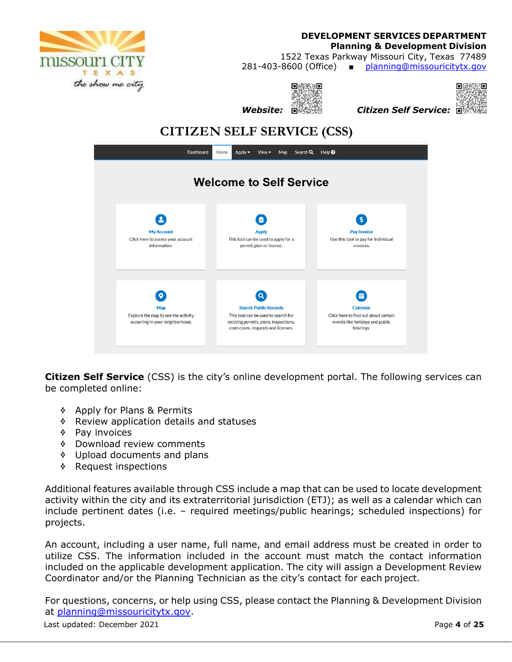

### **DEVELOPMENT SERVICES DEPARTMENT Planning & Development Division**  1522 Texas Parkway Missouri City, Texas 77489

281-403-8600 (Office) ■ planning@missouricitytx.gov

30  *Website: Citizen Self Service:* 

 $O(N)/O$ 



**CITIZEN SELF SERVICE (CSS)** 



**Citizen Self Service** (CSS) is the city's online development portal. The following services can be completed online:

- ❖ Apply for Plans & Permits
- \* Review application details and statuses
- **\*** Pay invoices
- **EXECUTE:** Download review comments
- \* Upload documents and plans
- \* Request inspections

Additional features available through CSS include a map that can be used to locate development activity within the city and its extraterritorial jurisdiction (ETJ); as well as a calendar which can include pertinent dates (i.e. – required meetings/public hearings; scheduled inspections) for projects.

An account, including a user name, full name, and email address must be created in order to utilize CSS. The information included in the account must match the contact information included on the applicable development application. The city will assign a Development Review Coordinator and/or the Planning Technician as the city's contact for each project.

For questions, concerns, or help using CSS, please contact the Planning & Development Division at planning@missouricitytx.gov.

Last updated: December 2021 Page **4** of **25**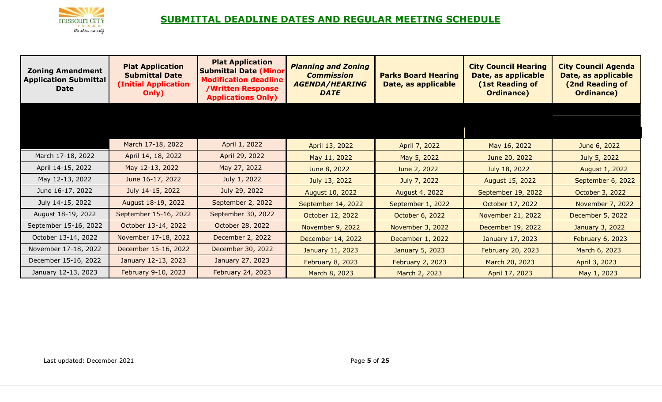

# **SUBMITTAL DEADLINE DATES AND REGULAR MEETING SCHEDULE**

| <b>Zoning Amendment</b><br><b>Application Submittal</b><br><b>Date</b> | <b>Plat Application</b><br><b>Submittal Date</b><br><b>(Initial Application</b><br>Only) | <b>Plat Application</b><br><b>Submittal Date (Minor</b><br><b>Modification deadline</b><br><b>/Written Response</b><br><b>Applications Only)</b> | <b>Planning and Zoning</b><br><b>Commission</b><br><b>AGENDA/HEARING</b><br><b>DATE</b> | <b>Parks Board Hearing</b><br>Date, as applicable | <b>City Council Hearing</b><br>Date, as applicable<br>(1st Reading of<br><b>Ordinance</b> ) | <b>City Council Agenda</b><br>Date, as applicable<br>(2nd Reading of<br><b>Ordinance)</b> |
|------------------------------------------------------------------------|------------------------------------------------------------------------------------------|--------------------------------------------------------------------------------------------------------------------------------------------------|-----------------------------------------------------------------------------------------|---------------------------------------------------|---------------------------------------------------------------------------------------------|-------------------------------------------------------------------------------------------|
|                                                                        |                                                                                          |                                                                                                                                                  |                                                                                         |                                                   |                                                                                             |                                                                                           |
|                                                                        |                                                                                          |                                                                                                                                                  |                                                                                         |                                                   |                                                                                             |                                                                                           |
|                                                                        | March 17-18, 2022                                                                        | April 1, 2022                                                                                                                                    | April 13, 2022                                                                          | April 7, 2022                                     | May 16, 2022                                                                                | June 6, 2022                                                                              |
| March 17-18, 2022                                                      | April 14, 18, 2022                                                                       | April 29, 2022                                                                                                                                   | May 11, 2022                                                                            | May 5, 2022                                       | June 20, 2022                                                                               | July 5, 2022                                                                              |
| April 14-15, 2022                                                      | May 12-13, 2022                                                                          | May 27, 2022                                                                                                                                     | June 8, 2022                                                                            | June 2, 2022                                      | July 18, 2022                                                                               | August 1, 2022                                                                            |
| May 12-13, 2022                                                        | June 16-17, 2022                                                                         | July 1, 2022                                                                                                                                     | July 13, 2022                                                                           | July 7, 2022                                      | August 15, 2022                                                                             | September 6, 2022                                                                         |
| June 16-17, 2022                                                       | July 14-15, 2022                                                                         | July 29, 2022                                                                                                                                    | August 10, 2022                                                                         | August 4, 2022                                    | September 19, 2022                                                                          | October 3, 2022                                                                           |
| July 14-15, 2022                                                       | August 18-19, 2022                                                                       | September 2, 2022                                                                                                                                | September 14, 2022                                                                      | September 1, 2022                                 | October 17, 2022                                                                            | November 7, 2022                                                                          |
| August 18-19, 2022                                                     | September 15-16, 2022                                                                    | September 30, 2022                                                                                                                               | October 12, 2022                                                                        | October 6, 2022                                   | November 21, 2022                                                                           | December 5, 2022                                                                          |
| September 15-16, 2022                                                  | October 13-14, 2022                                                                      | October 28, 2022                                                                                                                                 | November 9, 2022                                                                        | November 3, 2022                                  | December 19, 2022                                                                           | January 3, 2022                                                                           |
| October 13-14, 2022                                                    | November 17-18, 2022                                                                     | December 2, 2022                                                                                                                                 | December 14, 2022                                                                       | December 1, 2022                                  | January 17, 2023                                                                            | February 6, 2023                                                                          |
| November 17-18, 2022                                                   | December 15-16, 2022                                                                     | December 30, 2022                                                                                                                                | January 11, 2023                                                                        | January 5, 2023                                   | February 20, 2023                                                                           | March 6, 2023                                                                             |
| December 15-16, 2022                                                   | January 12-13, 2023                                                                      | January 27, 2023                                                                                                                                 | <b>February 8, 2023</b>                                                                 | February 2, 2023                                  | March 20, 2023                                                                              | April 3, 2023                                                                             |
| January 12-13, 2023                                                    | February 9-10, 2023                                                                      | February 24, 2023                                                                                                                                | March 8, 2023                                                                           | March 2, 2023                                     | April 17, 2023                                                                              | May 1, 2023                                                                               |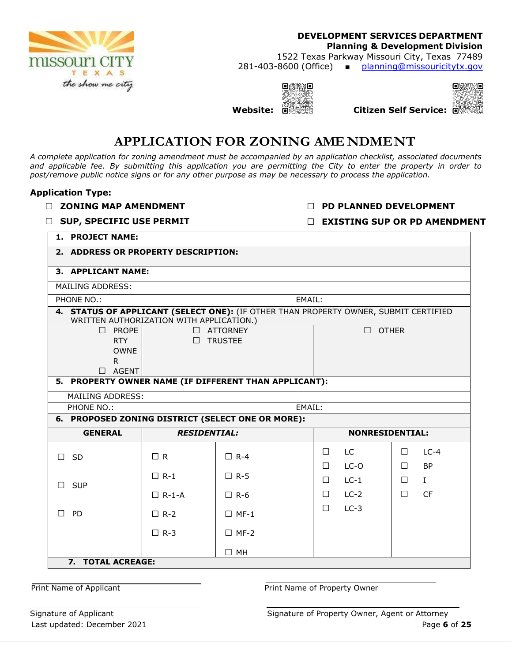

1522 Texas Parkway Missouri City, Texas 77489 281-403-8600 (Office) ■ planning@missouricitytx.gov

**Website: Citizen Self Service:**





# **APPLICATION FOR ZONING AME NDME NT**

*A complete application for zoning amendment must be accompanied by an application checklist, associated documents and applicable fee. By submitting this application you are permitting the City to enter the property in order to post/remove public notice signs or for any other purpose as may be necessary to process the application.* 

### **Application Type:**

**□ ZONING MAP AMENDMENT** 

**□ PD PLANNED DEVELOPMENT** 

**□ SUP, SPECIFIC USE PERMIT** 

**□ EXISTING SUP OR PD AMENDMENT**

**1. PROJECT NAME:** 

| 2. ADDRESS OR PROPERTY DESCRIPTION:      |                                                   |                                                                                      |        |                        |        |              |
|------------------------------------------|---------------------------------------------------|--------------------------------------------------------------------------------------|--------|------------------------|--------|--------------|
| 3. APPLICANT NAME:                       |                                                   |                                                                                      |        |                        |        |              |
| <b>MAILING ADDRESS:</b>                  |                                                   |                                                                                      |        |                        |        |              |
| PHONE NO.:                               |                                                   | EMAIL:                                                                               |        |                        |        |              |
| WRITTEN AUTHORIZATION WITH APPLICATION.) |                                                   | 4. STATUS OF APPLICANT (SELECT ONE): (IF OTHER THAN PROPERTY OWNER, SUBMIT CERTIFIED |        |                        |        |              |
| $\Box$ PROPE                             |                                                   | $\Box$ ATTORNEY                                                                      |        | $\Box$ OTHER           |        |              |
| RTY                                      |                                                   | $\Box$ TRUSTEE                                                                       |        |                        |        |              |
| <b>OWNE</b><br>R.                        |                                                   |                                                                                      |        |                        |        |              |
| $\Box$ AGENT                             |                                                   |                                                                                      |        |                        |        |              |
|                                          |                                                   | 5. PROPERTY OWNER NAME (IF DIFFERENT THAN APPLICANT):                                |        |                        |        |              |
| MAILING ADDRESS:                         |                                                   |                                                                                      |        |                        |        |              |
| PHONE NO.:                               |                                                   | EMAIL:                                                                               |        |                        |        |              |
|                                          | 6. PROPOSED ZONING DISTRICT (SELECT ONE OR MORE): |                                                                                      |        |                        |        |              |
| <b>GENERAL</b>                           | <b>RESIDENTIAL:</b>                               |                                                                                      |        | <b>NONRESIDENTIAL:</b> |        |              |
| SD<br>П                                  | $\Box$ R                                          | $\Box$ R-4                                                                           | $\Box$ | LC.                    | $\Box$ | $LC-4$       |
|                                          |                                                   |                                                                                      | $\Box$ | LC-O                   | $\Box$ | <b>BP</b>    |
| <b>SUP</b>                               | $\Box$ R-1                                        | $\Box$ R-5                                                                           | $\Box$ | $LC-1$                 | $\Box$ | $\mathbf{I}$ |
|                                          | $\Box$ R-1-A                                      | $\Box$ R-6                                                                           | $\Box$ | $LC-2$                 | $\Box$ | <b>CF</b>    |
| PD<br>$\mathsf{L}$                       | $\Box$ R-2                                        | $\Box$ MF-1                                                                          | $\Box$ | $LC-3$                 |        |              |
|                                          | $\Box$ R-3                                        | $\Box$ MF-2                                                                          |        |                        |        |              |
|                                          |                                                   | $\Box$ MH                                                                            |        |                        |        |              |
| 7. TOTAL ACREAGE:                        |                                                   |                                                                                      |        |                        |        |              |
|                                          |                                                   |                                                                                      |        |                        |        |              |

Print Name of Applicant **Prince Applicant** Print Name of Property Owner

Last updated: December 2021 **Page 6** of 25 Signature of Applicant Signature of Property Owner, Agent or Attorney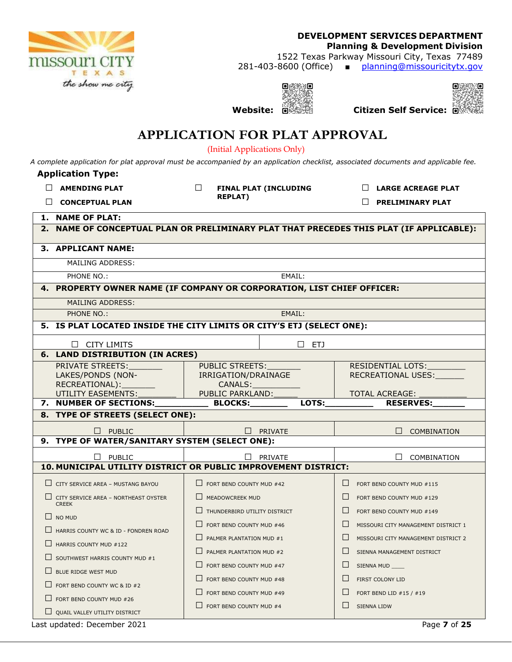

1522 Texas Parkway Missouri City, Texas 77489 281-403-8600 (Office) ■ planning@missouricitytx.gov

 $O(\frac{1}{2}N)/O$ 3



**Website: Citizen Self Service:**

# **APPLICATION FOR PLAT APPROVAL**

(Initial Applications Only)

*A complete application for plat approval must be accompanied by an application checklist, associated documents and applicable fee.* 

### **Application Type:**

| $\Box$ AMENDING PLAT |
|----------------------|
| CONCEPTUAL PLAN      |

**□ FINAL PLAT (INCLUDING REPLAT)** 

**□ LARGE ACREAGE PLAT** 

**□ PRELIMINARY PLAT**

| 1. | <b>NAME OF PLAT:</b>                                                                 |                                 |          |         |                                     |
|----|--------------------------------------------------------------------------------------|---------------------------------|----------|---------|-------------------------------------|
| 2. | NAME OF CONCEPTUAL PLAN OR PRELIMINARY PLAT THAT PRECEDES THIS PLAT (IF APPLICABLE): |                                 |          |         |                                     |
|    | 3. APPLICANT NAME:                                                                   |                                 |          |         |                                     |
|    | <b>MAILING ADDRESS:</b>                                                              |                                 |          |         |                                     |
|    | PHONE NO.:                                                                           |                                 | EMAIL:   |         |                                     |
|    | 4. PROPERTY OWNER NAME (IF COMPANY OR CORPORATION, LIST CHIEF OFFICER:               |                                 |          |         |                                     |
|    | <b>MAILING ADDRESS:</b>                                                              |                                 |          |         |                                     |
|    | <b>PHONE NO.:</b>                                                                    |                                 | EMAIL:   |         |                                     |
|    | 5. IS PLAT LOCATED INSIDE THE CITY LIMITS OR CITY'S ETJ (SELECT ONE):                |                                 |          |         |                                     |
|    | $\Box$ CITY LIMITS                                                                   |                                 | ETJ<br>П |         |                                     |
| 6. | <b>LAND DISTRIBUTION (IN ACRES)</b>                                                  |                                 |          |         |                                     |
|    | PRIVATE STREETS:                                                                     | <b>PUBLIC STREETS:</b>          |          |         | RESIDENTIAL LOTS:                   |
|    | LAKES/PONDS (NON-                                                                    | IRRIGATION/DRAINAGE             |          |         | RECREATIONAL USES:                  |
|    | RECREATIONAL):<br>UTILITY EASEMENTS:                                                 | CANALS:<br>PUBLIC PARKLAND:     |          |         | <b>TOTAL ACREAGE:</b>               |
|    | 7. NUMBER OF SECTIONS:                                                               | <b>BLOCKS:</b>                  | LOTS:    |         | <b>RESERVES:</b>                    |
|    | 8. TYPE OF STREETS (SELECT ONE):                                                     |                                 |          |         |                                     |
|    |                                                                                      |                                 |          |         |                                     |
|    | $\Box$ PUBLIC<br>9. TYPE OF WATER/SANITARY SYSTEM (SELECT ONE):                      |                                 | PRIVATE  |         | <b>COMBINATION</b>                  |
|    |                                                                                      |                                 |          |         |                                     |
|    | <b>PUBLIC</b><br>П                                                                   |                                 | PRIVATE  |         | П<br>COMBINATION                    |
|    | 10. MUNICIPAL UTILITY DISTRICT OR PUBLIC IMPROVEMENT DISTRICT:                       |                                 |          |         |                                     |
|    | $\Box$ CITY SERVICE AREA - MUSTANG BAYOU                                             | $\Box$ FORT BEND COUNTY MUD #42 |          | $\Box$  | FORT BEND COUNTY MUD #115           |
|    | $\Box$ CITY SERVICE AREA - NORTHEAST OYSTER<br><b>CREEK</b>                          | MEADOWCREEK MUD                 |          | $\perp$ | FORT BEND COUNTY MUD #129           |
|    | $\Box$ NO MUD                                                                        | THUNDERBIRD UTILITY DISTRICT    |          | $\Box$  | FORT BEND COUNTY MUD #149           |
|    | HARRIS COUNTY WC & ID - FONDREN ROAD                                                 | FORT BEND COUNTY MUD #46        |          | $\Box$  | MISSOURI CITY MANAGEMENT DISTRICT 1 |
|    | $\Box$ HARRIS COUNTY MUD #122                                                        | PALMER PLANTATION MUD #1        |          | $\Box$  | MISSOURI CITY MANAGEMENT DISTRICT 2 |
|    |                                                                                      | PALMER PLANTATION MUD #2        |          | $\Box$  | SIENNA MANAGEMENT DISTRICT          |
|    | $\Box$ SOUTHWEST HARRIS COUNTY MUD #1                                                | FORT BEND COUNTY MUD #47        |          | $\Box$  | SIENNA MUD                          |
|    | $\Box$ BLUE RIDGE WEST MUD                                                           | FORT BEND COUNTY MUD #48        |          | $\Box$  | FIRST COLONY LID                    |
|    | $\Box$ FORT BEND COUNTY WC & ID #2                                                   |                                 |          |         |                                     |
|    | $\Box$ FORT BEND COUNTY MUD #26                                                      | FORT BEND COUNTY MUD #49        |          | $\perp$ | FORT BEND LID #15 / #19             |
|    | U QUAIL VALLEY UTILITY DISTRICT                                                      | FORT BEND COUNTY MUD #4         |          | $\Box$  | <b>SIENNA LIDW</b>                  |
|    | Last updated: December 2021                                                          |                                 |          |         | Page 7 of 25                        |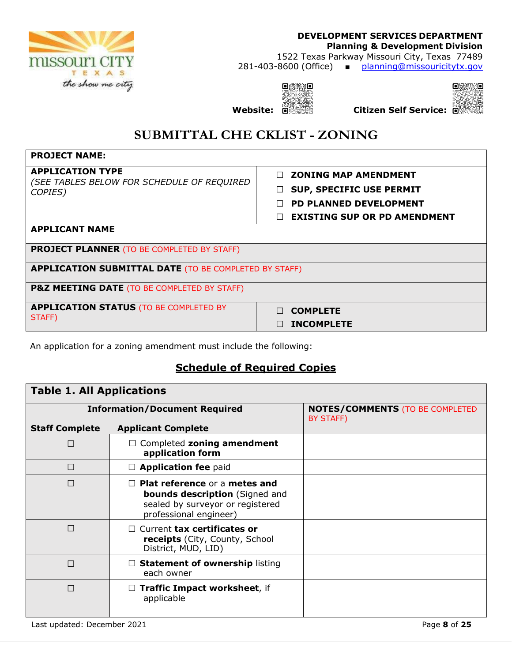

### **DEVELOPMENT SERVICES DEPARTMENT Planning & Development Division**  1522 Texas Parkway Missouri City, Texas 77489 281-403-8600 (Office) ■ planning@missouricitytx.gov

 $O(\frac{1}{2}N)/O$ **Website: Citizen Self Service:**



**SUBMITTAL CHE CKLIST - ZONING**

| <b>PROJECT NAME:</b>                                                  |                                     |
|-----------------------------------------------------------------------|-------------------------------------|
| <b>APPLICATION TYPE</b><br>(SEE TABLES BELOW FOR SCHEDULE OF REQUIRED | <b>ZONING MAP AMENDMENT</b>         |
| COPIES)                                                               | <b>SUP, SPECIFIC USE PERMIT</b>     |
|                                                                       | <b>PD PLANNED DEVELOPMENT</b>       |
|                                                                       | <b>EXISTING SUP OR PD AMENDMENT</b> |
| <b>APPLICANT NAME</b>                                                 |                                     |
| <b>PROJECT PLANNER (TO BE COMPLETED BY STAFF)</b>                     |                                     |
| <b>APPLICATION SUBMITTAL DATE (TO BE COMPLETED BY STAFF)</b>          |                                     |
| P&Z MEETING DATE (TO BE COMPLETED BY STAFF)                           |                                     |
| <b>APPLICATION STATUS (TO BE COMPLETED BY</b><br>STAFF)               | <b>COMPLETE</b><br>$\Box$           |
|                                                                       | <b>INCOMPLETE</b>                   |

An application for a zoning amendment must include the following:

## **Schedule of Required Copies**

| <b>Table 1. All Applications</b> |                                                                                                                                             |                                                     |  |
|----------------------------------|---------------------------------------------------------------------------------------------------------------------------------------------|-----------------------------------------------------|--|
|                                  | <b>Information/Document Required</b>                                                                                                        | <b>NOTES/COMMENTS (TO BE COMPLETED</b><br>BY STAFF) |  |
| <b>Staff Complete</b>            | <b>Applicant Complete</b>                                                                                                                   |                                                     |  |
| П                                | $\Box$ Completed zoning amendment<br>application form                                                                                       |                                                     |  |
| П                                | $\Box$ Application fee paid                                                                                                                 |                                                     |  |
| П                                | <b>Plat reference or a metes and</b><br><b>bounds description</b> (Signed and<br>sealed by surveyor or registered<br>professional engineer) |                                                     |  |
| П                                | $\Box$ Current tax certificates or<br><b>receipts</b> (City, County, School<br>District, MUD, LID)                                          |                                                     |  |
| П                                | <b>Statement of ownership listing</b><br>each owner                                                                                         |                                                     |  |
| П                                | Traffic Impact worksheet, if<br>$\Box$<br>applicable                                                                                        |                                                     |  |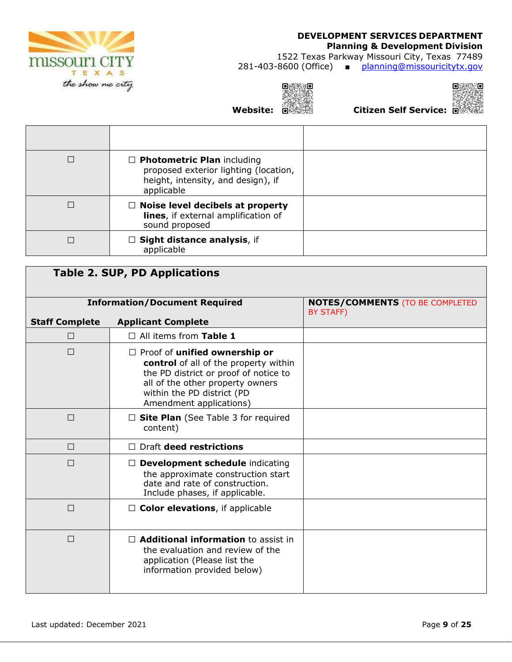

### **Planning & Development Division**

1522 Texas Parkway Missouri City, Texas 77489 281-403-8600 (Office) ■ planning@missouricitytx.gov

 $Q$  and J **Website: Citizen Self Service:**



| $\Box$ Photometric Plan including<br>proposed exterior lighting (location,<br>height, intensity, and design), if<br>applicable |  |
|--------------------------------------------------------------------------------------------------------------------------------|--|
| $\Box$ Noise level decibels at property<br>lines, if external amplification of<br>sound proposed                               |  |
| $\Box$ Sight distance analysis, if<br>applicable                                                                               |  |

|                       | <b>Table 2. SUP, PD Applications</b>                                                                                                                                                                                |                                                     |
|-----------------------|---------------------------------------------------------------------------------------------------------------------------------------------------------------------------------------------------------------------|-----------------------------------------------------|
|                       | <b>Information/Document Required</b>                                                                                                                                                                                | <b>NOTES/COMMENTS (TO BE COMPLETED</b><br>BY STAFF) |
| <b>Staff Complete</b> | <b>Applicant Complete</b>                                                                                                                                                                                           |                                                     |
| $\Box$                | $\Box$ All items from Table 1                                                                                                                                                                                       |                                                     |
| $\Box$                | $\Box$ Proof of unified ownership or<br>control of all of the property within<br>the PD district or proof of notice to<br>all of the other property owners<br>within the PD district (PD<br>Amendment applications) |                                                     |
| $\Box$                | $\Box$ Site Plan (See Table 3 for required<br>content)                                                                                                                                                              |                                                     |
| $\Box$                | Draft deed restrictions                                                                                                                                                                                             |                                                     |
| $\Box$                | <b>Development schedule indicating</b><br>$\Box$<br>the approximate construction start<br>date and rate of construction.<br>Include phases, if applicable.                                                          |                                                     |
| $\Box$                | $\Box$ Color elevations, if applicable                                                                                                                                                                              |                                                     |
| $\Box$                | $\Box$ Additional information to assist in<br>the evaluation and review of the<br>application (Please list the<br>information provided below)                                                                       |                                                     |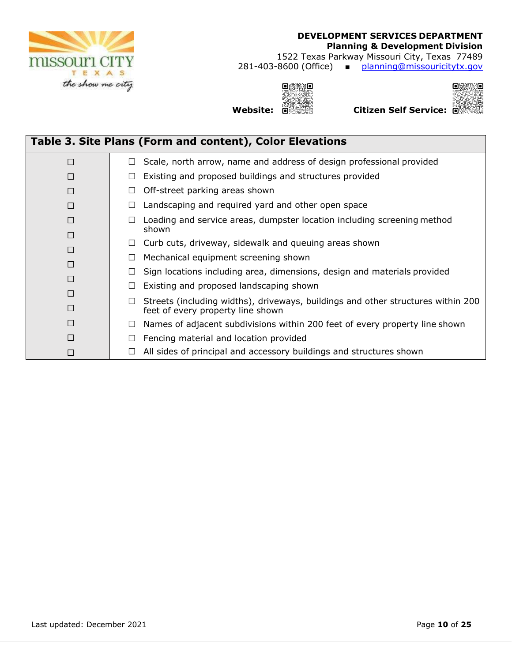

1522 Texas Parkway Missouri City, Texas 77489 281-403-8600 (Office) ■ planning@missouricitytx.gov

 $Q$  and Ā الكريمية:<br>**Website: Citizen Self Service: C**itizen Self Service: الشخصية



|        | Table 3. Site Plans (Form and content), Color Elevations                                                                        |
|--------|---------------------------------------------------------------------------------------------------------------------------------|
| П      | Scale, north arrow, name and address of design professional provided<br>$\Box$                                                  |
| П      | Existing and proposed buildings and structures provided<br>⊔                                                                    |
| П      | $\Box$ Off-street parking areas shown                                                                                           |
| П      | Landscaping and required yard and other open space<br>Ц                                                                         |
| П      | Loading and service areas, dumpster location including screening method<br>ш<br>shown                                           |
| П<br>П | Curb cuts, driveway, sidewalk and queuing areas shown<br>U.                                                                     |
|        | Mechanical equipment screening shown<br>$\Box$                                                                                  |
| П      | Sign locations including area, dimensions, design and materials provided<br>П                                                   |
| П      | Existing and proposed landscaping shown<br>$\Box$                                                                               |
| П<br>П | Streets (including widths), driveways, buildings and other structures within 200<br>$\Box$<br>feet of every property line shown |
| П      | Names of adjacent subdivisions within 200 feet of every property line shown<br>$\Box$                                           |
|        | Fencing material and location provided<br>$\Box$                                                                                |
|        | All sides of principal and accessory buildings and structures shown<br>⊔                                                        |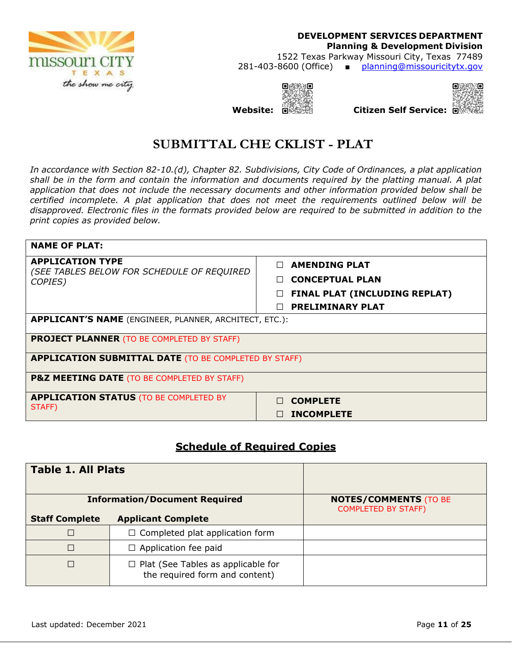

**DEVELOPMENT SERVICES DEPARTMENT Planning & Development Division**  1522 Texas Parkway Missouri City, Texas 77489 281-403-8600 (Office) ■ planning@missouricitytx.gov





# **SUBMITTAL CHE CKLIST - PLAT**

*In accordance with Section 82-10.(d), Chapter 82. Subdivisions, City Code of Ordinances, a plat application shall be in the form and contain the information and documents required by the platting manual. A plat application that does not include the necessary documents and other information provided below shall be certified incomplete. A plat application that does not meet the requirements outlined below will be disapproved. Electronic files in the formats provided below are required to be submitted in addition to the print copies as provided below.* 

| <b>NAME OF PLAT:</b>                                          |                               |  |  |
|---------------------------------------------------------------|-------------------------------|--|--|
| <b>APPLICATION TYPE</b>                                       | <b>AMENDING PLAT</b>          |  |  |
| (SEE TABLES BELOW FOR SCHEDULE OF REQUIRED<br>COPIES)         | <b>CONCEPTUAL PLAN</b>        |  |  |
|                                                               | FINAL PLAT (INCLUDING REPLAT) |  |  |
|                                                               | <b>PRELIMINARY PLAT</b>       |  |  |
| <b>APPLICANT'S NAME</b> (ENGINEER, PLANNER, ARCHITECT, ETC.): |                               |  |  |
| <b>PROJECT PLANNER (TO BE COMPLETED BY STAFF)</b>             |                               |  |  |
| <b>APPLICATION SUBMITTAL DATE (TO BE COMPLETED BY STAFF)</b>  |                               |  |  |
| <b>P&amp;Z MEETING DATE (TO BE COMPLETED BY STAFF)</b>        |                               |  |  |
| <b>APPLICATION STATUS (TO BE COMPLETED BY</b>                 | <b>COMPLETE</b>               |  |  |
| STAFF)                                                        | <b>INCOMPLETE</b>             |  |  |

### **Schedule of Required Copies**

| <b>Table 1. All Plats</b> |                                                                             |                                                            |
|---------------------------|-----------------------------------------------------------------------------|------------------------------------------------------------|
|                           | <b>Information/Document Required</b>                                        | <b>NOTES/COMMENTS (TO BE</b><br><b>COMPLETED BY STAFF)</b> |
| <b>Staff Complete</b>     | <b>Applicant Complete</b>                                                   |                                                            |
|                           | $\Box$ Completed plat application form                                      |                                                            |
|                           | $\Box$ Application fee paid                                                 |                                                            |
|                           | $\Box$ Plat (See Tables as applicable for<br>the required form and content) |                                                            |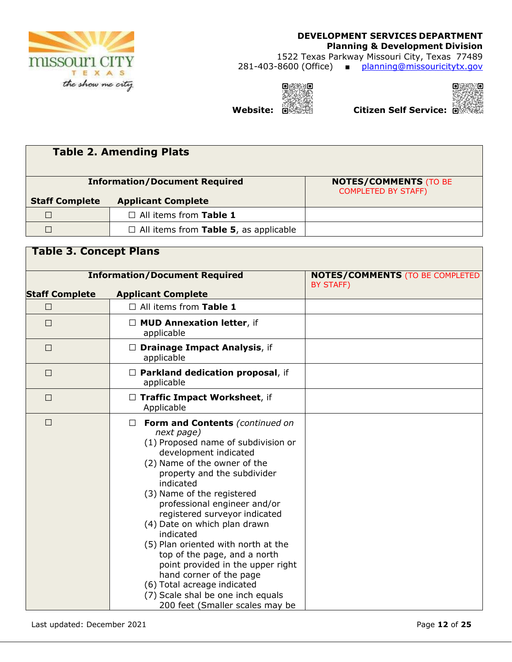

**Table 3. Concept Plans**

### **DEVELOPMENT SERVICES DEPARTMENT Planning & Development Division**  1522 Texas Parkway Missouri City, Texas 77489 281-403-8600 (Office) ■ planning@missouricitytx.gov

 $Q$  and **Website: Children Self Service: Children Self Service:** 



|                       | <b>Table 2. Amending Plats</b>               |                                                            |
|-----------------------|----------------------------------------------|------------------------------------------------------------|
|                       | <b>Information/Document Required</b>         | <b>NOTES/COMMENTS (TO BE</b><br><b>COMPLETED BY STAFF)</b> |
| <b>Staff Complete</b> | <b>Applicant Complete</b>                    |                                                            |
|                       | $\Box$ All items from Table 1                |                                                            |
|                       | $\Box$ All items from Table 5, as applicable |                                                            |
|                       |                                              |                                                            |

| <b>Information/Document Required</b>               |                                                                                                                                                                                                                                                                                                                                                                                                                                                                                                                                                                                     | <b>NOTES/COMMENTS (TO BE COMPLETED)</b><br>BY STAFF) |  |  |
|----------------------------------------------------|-------------------------------------------------------------------------------------------------------------------------------------------------------------------------------------------------------------------------------------------------------------------------------------------------------------------------------------------------------------------------------------------------------------------------------------------------------------------------------------------------------------------------------------------------------------------------------------|------------------------------------------------------|--|--|
| <b>Staff Complete</b><br><b>Applicant Complete</b> |                                                                                                                                                                                                                                                                                                                                                                                                                                                                                                                                                                                     |                                                      |  |  |
| $\Box$                                             | $\Box$ All items from Table 1                                                                                                                                                                                                                                                                                                                                                                                                                                                                                                                                                       |                                                      |  |  |
| $\Box$                                             | $\Box$ MUD Annexation letter, if<br>applicable                                                                                                                                                                                                                                                                                                                                                                                                                                                                                                                                      |                                                      |  |  |
| □                                                  | $\Box$ Drainage Impact Analysis, if<br>applicable                                                                                                                                                                                                                                                                                                                                                                                                                                                                                                                                   |                                                      |  |  |
| $\Box$                                             | $\Box$ Parkland dedication proposal, if<br>applicable                                                                                                                                                                                                                                                                                                                                                                                                                                                                                                                               |                                                      |  |  |
| $\Box$                                             | □ Traffic Impact Worksheet, if<br>Applicable                                                                                                                                                                                                                                                                                                                                                                                                                                                                                                                                        |                                                      |  |  |
| □                                                  | Form and Contents (continued on<br>next page)<br>(1) Proposed name of subdivision or<br>development indicated<br>(2) Name of the owner of the<br>property and the subdivider<br>indicated<br>(3) Name of the registered<br>professional engineer and/or<br>registered surveyor indicated<br>(4) Date on which plan drawn<br>indicated<br>(5) Plan oriented with north at the<br>top of the page, and a north<br>point provided in the upper right<br>hand corner of the page<br>(6) Total acreage indicated<br>(7) Scale shal be one inch equals<br>200 feet (Smaller scales may be |                                                      |  |  |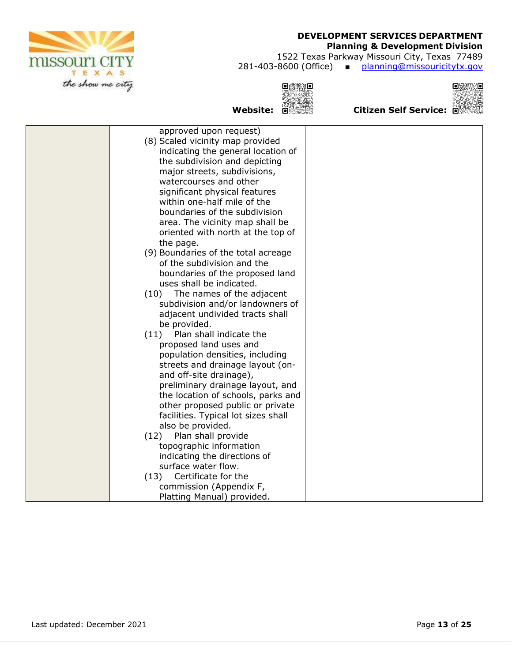# **missouri CITY** TEXAS the show me city

### **DEVELOPMENT SERVICES DEPARTMENT**

### **Planning & Development Division**

1522 Texas Parkway Missouri City, Texas 77489 281-403-8600 (Office) ■ planning@missouricitytx.gov





الِمَجِبِيَّةِ:<br>Website: الْكَتَّخِبُّيُّةُ: Website: الْكَتَّخِبُّيُّةُ: Website:

| (8) Scaled vicinity map provided<br>indicating the general location of<br>the subdivision and depicting<br>major streets, subdivisions,<br>watercourses and other<br>significant physical features<br>within one-half mile of the<br>boundaries of the subdivision<br>area. The vicinity map shall be<br>oriented with north at the top of<br>the page.<br>(9) Boundaries of the total acreage<br>of the subdivision and the<br>boundaries of the proposed land<br>uses shall be indicated.<br>The names of the adjacent<br>(10)<br>subdivision and/or landowners of<br>adjacent undivided tracts shall<br>be provided.<br>Plan shall indicate the<br>(11)<br>proposed land uses and<br>population densities, including<br>streets and drainage layout (on-<br>and off-site drainage),<br>preliminary drainage layout, and<br>the location of schools, parks and<br>other proposed public or private<br>facilities. Typical lot sizes shall<br>also be provided.<br>Plan shall provide<br>(12)<br>topographic information<br>indicating the directions of<br>surface water flow.<br>Certificate for the<br>(13)<br>commission (Appendix F, | approved upon request)     |  |
|--------------------------------------------------------------------------------------------------------------------------------------------------------------------------------------------------------------------------------------------------------------------------------------------------------------------------------------------------------------------------------------------------------------------------------------------------------------------------------------------------------------------------------------------------------------------------------------------------------------------------------------------------------------------------------------------------------------------------------------------------------------------------------------------------------------------------------------------------------------------------------------------------------------------------------------------------------------------------------------------------------------------------------------------------------------------------------------------------------------------------------------------|----------------------------|--|
|                                                                                                                                                                                                                                                                                                                                                                                                                                                                                                                                                                                                                                                                                                                                                                                                                                                                                                                                                                                                                                                                                                                                            |                            |  |
|                                                                                                                                                                                                                                                                                                                                                                                                                                                                                                                                                                                                                                                                                                                                                                                                                                                                                                                                                                                                                                                                                                                                            |                            |  |
|                                                                                                                                                                                                                                                                                                                                                                                                                                                                                                                                                                                                                                                                                                                                                                                                                                                                                                                                                                                                                                                                                                                                            |                            |  |
|                                                                                                                                                                                                                                                                                                                                                                                                                                                                                                                                                                                                                                                                                                                                                                                                                                                                                                                                                                                                                                                                                                                                            |                            |  |
|                                                                                                                                                                                                                                                                                                                                                                                                                                                                                                                                                                                                                                                                                                                                                                                                                                                                                                                                                                                                                                                                                                                                            |                            |  |
|                                                                                                                                                                                                                                                                                                                                                                                                                                                                                                                                                                                                                                                                                                                                                                                                                                                                                                                                                                                                                                                                                                                                            |                            |  |
|                                                                                                                                                                                                                                                                                                                                                                                                                                                                                                                                                                                                                                                                                                                                                                                                                                                                                                                                                                                                                                                                                                                                            |                            |  |
|                                                                                                                                                                                                                                                                                                                                                                                                                                                                                                                                                                                                                                                                                                                                                                                                                                                                                                                                                                                                                                                                                                                                            |                            |  |
|                                                                                                                                                                                                                                                                                                                                                                                                                                                                                                                                                                                                                                                                                                                                                                                                                                                                                                                                                                                                                                                                                                                                            |                            |  |
|                                                                                                                                                                                                                                                                                                                                                                                                                                                                                                                                                                                                                                                                                                                                                                                                                                                                                                                                                                                                                                                                                                                                            |                            |  |
|                                                                                                                                                                                                                                                                                                                                                                                                                                                                                                                                                                                                                                                                                                                                                                                                                                                                                                                                                                                                                                                                                                                                            |                            |  |
|                                                                                                                                                                                                                                                                                                                                                                                                                                                                                                                                                                                                                                                                                                                                                                                                                                                                                                                                                                                                                                                                                                                                            |                            |  |
|                                                                                                                                                                                                                                                                                                                                                                                                                                                                                                                                                                                                                                                                                                                                                                                                                                                                                                                                                                                                                                                                                                                                            |                            |  |
|                                                                                                                                                                                                                                                                                                                                                                                                                                                                                                                                                                                                                                                                                                                                                                                                                                                                                                                                                                                                                                                                                                                                            |                            |  |
|                                                                                                                                                                                                                                                                                                                                                                                                                                                                                                                                                                                                                                                                                                                                                                                                                                                                                                                                                                                                                                                                                                                                            |                            |  |
|                                                                                                                                                                                                                                                                                                                                                                                                                                                                                                                                                                                                                                                                                                                                                                                                                                                                                                                                                                                                                                                                                                                                            |                            |  |
|                                                                                                                                                                                                                                                                                                                                                                                                                                                                                                                                                                                                                                                                                                                                                                                                                                                                                                                                                                                                                                                                                                                                            |                            |  |
|                                                                                                                                                                                                                                                                                                                                                                                                                                                                                                                                                                                                                                                                                                                                                                                                                                                                                                                                                                                                                                                                                                                                            |                            |  |
|                                                                                                                                                                                                                                                                                                                                                                                                                                                                                                                                                                                                                                                                                                                                                                                                                                                                                                                                                                                                                                                                                                                                            |                            |  |
|                                                                                                                                                                                                                                                                                                                                                                                                                                                                                                                                                                                                                                                                                                                                                                                                                                                                                                                                                                                                                                                                                                                                            |                            |  |
|                                                                                                                                                                                                                                                                                                                                                                                                                                                                                                                                                                                                                                                                                                                                                                                                                                                                                                                                                                                                                                                                                                                                            |                            |  |
|                                                                                                                                                                                                                                                                                                                                                                                                                                                                                                                                                                                                                                                                                                                                                                                                                                                                                                                                                                                                                                                                                                                                            |                            |  |
|                                                                                                                                                                                                                                                                                                                                                                                                                                                                                                                                                                                                                                                                                                                                                                                                                                                                                                                                                                                                                                                                                                                                            |                            |  |
|                                                                                                                                                                                                                                                                                                                                                                                                                                                                                                                                                                                                                                                                                                                                                                                                                                                                                                                                                                                                                                                                                                                                            |                            |  |
|                                                                                                                                                                                                                                                                                                                                                                                                                                                                                                                                                                                                                                                                                                                                                                                                                                                                                                                                                                                                                                                                                                                                            |                            |  |
|                                                                                                                                                                                                                                                                                                                                                                                                                                                                                                                                                                                                                                                                                                                                                                                                                                                                                                                                                                                                                                                                                                                                            |                            |  |
|                                                                                                                                                                                                                                                                                                                                                                                                                                                                                                                                                                                                                                                                                                                                                                                                                                                                                                                                                                                                                                                                                                                                            |                            |  |
|                                                                                                                                                                                                                                                                                                                                                                                                                                                                                                                                                                                                                                                                                                                                                                                                                                                                                                                                                                                                                                                                                                                                            |                            |  |
|                                                                                                                                                                                                                                                                                                                                                                                                                                                                                                                                                                                                                                                                                                                                                                                                                                                                                                                                                                                                                                                                                                                                            |                            |  |
|                                                                                                                                                                                                                                                                                                                                                                                                                                                                                                                                                                                                                                                                                                                                                                                                                                                                                                                                                                                                                                                                                                                                            |                            |  |
|                                                                                                                                                                                                                                                                                                                                                                                                                                                                                                                                                                                                                                                                                                                                                                                                                                                                                                                                                                                                                                                                                                                                            |                            |  |
|                                                                                                                                                                                                                                                                                                                                                                                                                                                                                                                                                                                                                                                                                                                                                                                                                                                                                                                                                                                                                                                                                                                                            |                            |  |
|                                                                                                                                                                                                                                                                                                                                                                                                                                                                                                                                                                                                                                                                                                                                                                                                                                                                                                                                                                                                                                                                                                                                            |                            |  |
|                                                                                                                                                                                                                                                                                                                                                                                                                                                                                                                                                                                                                                                                                                                                                                                                                                                                                                                                                                                                                                                                                                                                            |                            |  |
|                                                                                                                                                                                                                                                                                                                                                                                                                                                                                                                                                                                                                                                                                                                                                                                                                                                                                                                                                                                                                                                                                                                                            |                            |  |
|                                                                                                                                                                                                                                                                                                                                                                                                                                                                                                                                                                                                                                                                                                                                                                                                                                                                                                                                                                                                                                                                                                                                            |                            |  |
|                                                                                                                                                                                                                                                                                                                                                                                                                                                                                                                                                                                                                                                                                                                                                                                                                                                                                                                                                                                                                                                                                                                                            | Platting Manual) provided. |  |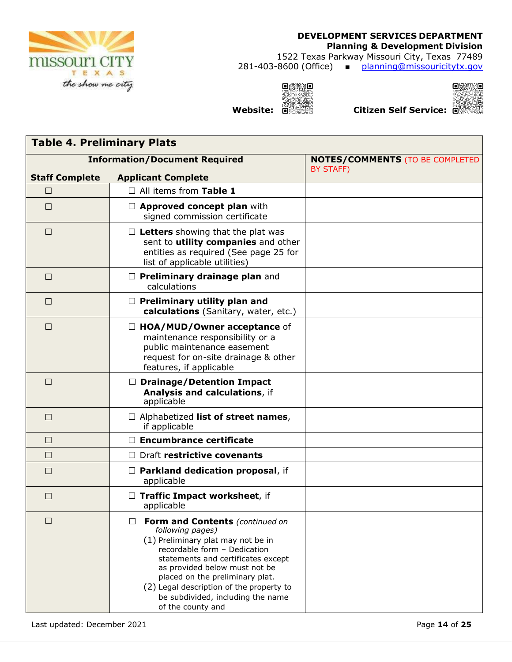

1522 Texas Parkway Missouri City, Texas 77489 281-403-8600 (Office) ■ planning@missouricitytx.gov

 $Q$  and  $Q$ 35 الله السنة بين السنة السنة بين السنة السنة العام السنة العام السنة العام السنة ال<br>كانت السنة العام العام العام السنة العام السنة العام العام العام العام العام العام العام العام العام العام الع



| <b>Table 4. Preliminary Plats</b> |                                                                                                                                                                                                                                                                                                                                                |                                                     |  |
|-----------------------------------|------------------------------------------------------------------------------------------------------------------------------------------------------------------------------------------------------------------------------------------------------------------------------------------------------------------------------------------------|-----------------------------------------------------|--|
|                                   | <b>Information/Document Required</b>                                                                                                                                                                                                                                                                                                           | <b>NOTES/COMMENTS (TO BE COMPLETED</b><br>BY STAFF) |  |
| <b>Staff Complete</b>             | <b>Applicant Complete</b>                                                                                                                                                                                                                                                                                                                      |                                                     |  |
| □                                 | $\Box$ All items from Table 1                                                                                                                                                                                                                                                                                                                  |                                                     |  |
| $\Box$                            | $\Box$ Approved concept plan with<br>signed commission certificate                                                                                                                                                                                                                                                                             |                                                     |  |
| $\Box$                            | $\Box$ Letters showing that the plat was<br>sent to utility companies and other<br>entities as required (See page 25 for<br>list of applicable utilities)                                                                                                                                                                                      |                                                     |  |
| $\Box$                            | $\Box$ Preliminary drainage plan and<br>calculations                                                                                                                                                                                                                                                                                           |                                                     |  |
| $\Box$                            | $\Box$ Preliminary utility plan and<br>calculations (Sanitary, water, etc.)                                                                                                                                                                                                                                                                    |                                                     |  |
| $\Box$                            | $\Box$ HOA/MUD/Owner acceptance of<br>maintenance responsibility or a<br>public maintenance easement<br>request for on-site drainage & other<br>features, if applicable                                                                                                                                                                        |                                                     |  |
| □                                 | $\Box$ Drainage/Detention Impact<br>Analysis and calculations, if<br>applicable                                                                                                                                                                                                                                                                |                                                     |  |
| $\Box$                            | $\Box$ Alphabetized list of street names,<br>if applicable                                                                                                                                                                                                                                                                                     |                                                     |  |
| $\Box$                            | $\Box$ Encumbrance certificate                                                                                                                                                                                                                                                                                                                 |                                                     |  |
| $\Box$                            | $\Box$ Draft restrictive covenants                                                                                                                                                                                                                                                                                                             |                                                     |  |
| □                                 | $\Box$ Parkland dedication proposal, if<br>applicable                                                                                                                                                                                                                                                                                          |                                                     |  |
| □                                 | $\Box$ Traffic Impact worksheet, if<br>applicable                                                                                                                                                                                                                                                                                              |                                                     |  |
| □                                 | Form and Contents (continued on<br>П<br>following pages)<br>(1) Preliminary plat may not be in<br>recordable form - Dedication<br>statements and certificates except<br>as provided below must not be<br>placed on the preliminary plat.<br>(2) Legal description of the property to<br>be subdivided, including the name<br>of the county and |                                                     |  |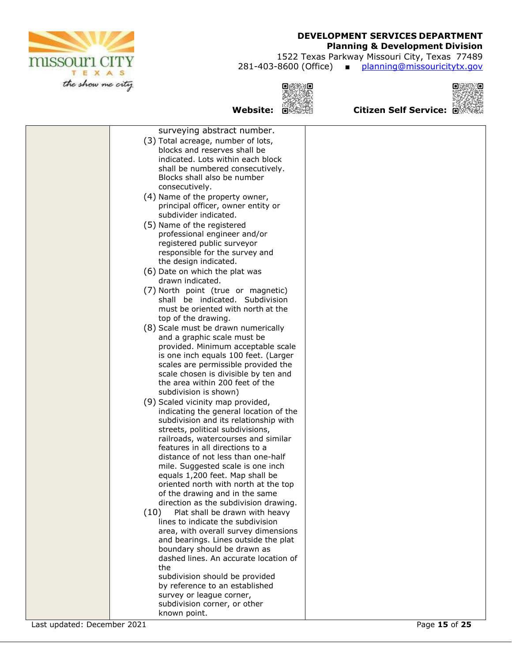

### **Planning & Development Division**

1522 Texas Parkway Missouri City, Texas 77489

281-403-8600 (Office) ■ planning@missouricitytx.gov

**Website: Citizen Self Service:**

 $Q$  and



| surveying abstract number.                                              |  |
|-------------------------------------------------------------------------|--|
| (3) Total acreage, number of lots,                                      |  |
| blocks and reserves shall be                                            |  |
| indicated. Lots within each block                                       |  |
| shall be numbered consecutively.                                        |  |
| Blocks shall also be number                                             |  |
| consecutively.                                                          |  |
| (4) Name of the property owner,                                         |  |
| principal officer, owner entity or                                      |  |
| subdivider indicated.                                                   |  |
| (5) Name of the registered                                              |  |
| professional engineer and/or                                            |  |
| registered public surveyor                                              |  |
| responsible for the survey and                                          |  |
| the design indicated.                                                   |  |
| (6) Date on which the plat was                                          |  |
| drawn indicated.                                                        |  |
| (7) North point (true or magnetic)                                      |  |
| shall be indicated. Subdivision                                         |  |
| must be oriented with north at the                                      |  |
| top of the drawing.                                                     |  |
| (8) Scale must be drawn numerically                                     |  |
| and a graphic scale must be                                             |  |
| provided. Minimum acceptable scale                                      |  |
| is one inch equals 100 feet. (Larger                                    |  |
| scales are permissible provided the                                     |  |
| scale chosen is divisible by ten and                                    |  |
| the area within 200 feet of the                                         |  |
| subdivision is shown)                                                   |  |
| (9) Scaled vicinity map provided,                                       |  |
| indicating the general location of the                                  |  |
| subdivision and its relationship with                                   |  |
| streets, political subdivisions,<br>railroads, watercourses and similar |  |
| features in all directions to a                                         |  |
| distance of not less than one-half                                      |  |
| mile. Suggested scale is one inch                                       |  |
| equals 1,200 feet. Map shall be                                         |  |
| oriented north with north at the top                                    |  |
| of the drawing and in the same                                          |  |
| direction as the subdivision drawing.                                   |  |
| (10)<br>Plat shall be drawn with heavy                                  |  |
| lines to indicate the subdivision                                       |  |
| area, with overall survey dimensions                                    |  |
| and bearings. Lines outside the plat                                    |  |
| boundary should be drawn as                                             |  |
| dashed lines. An accurate location of                                   |  |
| the                                                                     |  |
| subdivision should be provided                                          |  |
| by reference to an established                                          |  |
| survey or league corner,                                                |  |
| subdivision corner, or other                                            |  |
| known point.                                                            |  |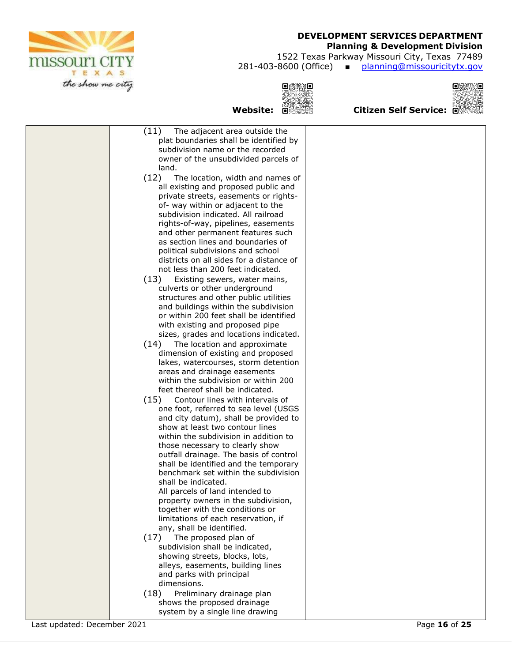

### **Planning & Development Division**

1522 Texas Parkway Missouri City, Texas 77489

281-403-8600 (Office) ■ planning@missouricitytx.gov



 $Q$  and



|                             | (11)<br>The adjacent area outside the                                    |               |
|-----------------------------|--------------------------------------------------------------------------|---------------|
|                             | plat boundaries shall be identified by                                   |               |
|                             | subdivision name or the recorded<br>owner of the unsubdivided parcels of |               |
|                             | land.                                                                    |               |
|                             | (12)<br>The location, width and names of                                 |               |
|                             | all existing and proposed public and                                     |               |
|                             | private streets, easements or rights-                                    |               |
|                             | of- way within or adjacent to the                                        |               |
|                             | subdivision indicated. All railroad                                      |               |
|                             | rights-of-way, pipelines, easements                                      |               |
|                             | and other permanent features such                                        |               |
|                             | as section lines and boundaries of                                       |               |
|                             | political subdivisions and school                                        |               |
|                             | districts on all sides for a distance of                                 |               |
|                             | not less than 200 feet indicated.                                        |               |
|                             | (13)<br>Existing sewers, water mains,                                    |               |
|                             | culverts or other underground<br>structures and other public utilities   |               |
|                             | and buildings within the subdivision                                     |               |
|                             | or within 200 feet shall be identified                                   |               |
|                             | with existing and proposed pipe                                          |               |
|                             | sizes, grades and locations indicated.                                   |               |
|                             | (14)<br>The location and approximate                                     |               |
|                             | dimension of existing and proposed                                       |               |
|                             | lakes, watercourses, storm detention                                     |               |
|                             | areas and drainage easements                                             |               |
|                             | within the subdivision or within 200                                     |               |
|                             | feet thereof shall be indicated.                                         |               |
|                             | (15)<br>Contour lines with intervals of                                  |               |
|                             | one foot, referred to sea level (USGS                                    |               |
|                             | and city datum), shall be provided to                                    |               |
|                             | show at least two contour lines<br>within the subdivision in addition to |               |
|                             | those necessary to clearly show                                          |               |
|                             | outfall drainage. The basis of control                                   |               |
|                             | shall be identified and the temporary                                    |               |
|                             | benchmark set within the subdivision                                     |               |
|                             | shall be indicated.                                                      |               |
|                             | All parcels of land intended to                                          |               |
|                             | property owners in the subdivision,                                      |               |
|                             | together with the conditions or                                          |               |
|                             | limitations of each reservation, if                                      |               |
|                             | any, shall be identified.                                                |               |
|                             | The proposed plan of<br>(17)                                             |               |
|                             | subdivision shall be indicated,                                          |               |
|                             | showing streets, blocks, lots,                                           |               |
|                             | alleys, easements, building lines<br>and parks with principal            |               |
|                             | dimensions.                                                              |               |
|                             | (18)<br>Preliminary drainage plan                                        |               |
|                             | shows the proposed drainage                                              |               |
|                             | system by a single line drawing                                          |               |
| Last updated: December 2021 |                                                                          | Page 16 of 25 |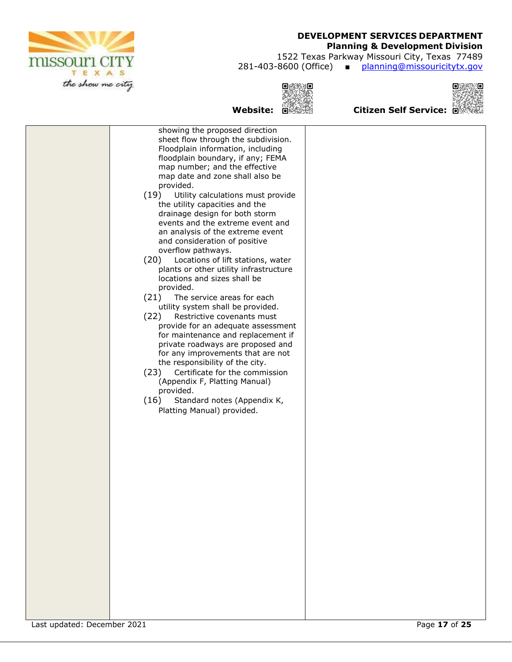

### **Planning & Development Division**

1522 Texas Parkway Missouri City, Texas 77489 281-403-8600 (Office) ■ planning@missouricitytx.gov

向类数组列



# **Website: Citizen Self Service:**

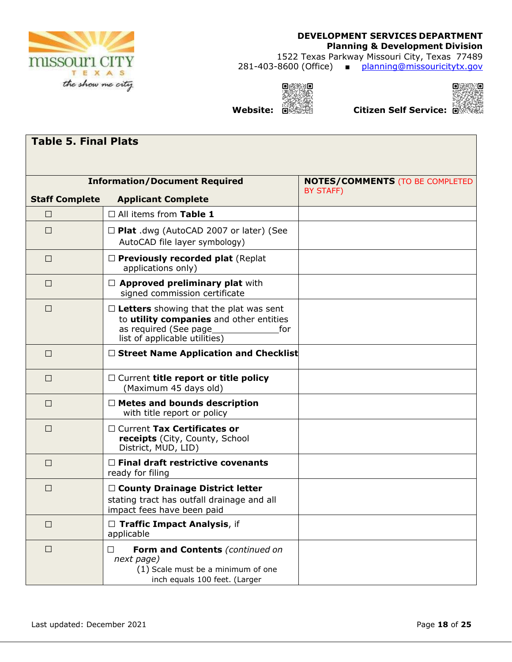

### **DEVELOPMENT SERVICES DEPARTMENT Planning & Development Division**  1522 Texas Parkway Missouri City, Texas 77489

281-403-8600 (Office) ■ planning@missouricitytx.gov





**Website: Citizen Self Service:**

| <b>Table 5. Final Plats</b> |                                                                                                                                                            |                                                     |  |  |
|-----------------------------|------------------------------------------------------------------------------------------------------------------------------------------------------------|-----------------------------------------------------|--|--|
|                             |                                                                                                                                                            |                                                     |  |  |
| <b>Staff Complete</b>       | <b>Information/Document Required</b><br><b>Applicant Complete</b>                                                                                          | <b>NOTES/COMMENTS (TO BE COMPLETED</b><br>BY STAFF) |  |  |
| $\Box$                      | $\Box$ All items from Table 1                                                                                                                              |                                                     |  |  |
| $\Box$                      | $\Box$ Plat .dwg (AutoCAD 2007 or later) (See<br>AutoCAD file layer symbology)                                                                             |                                                     |  |  |
| $\Box$                      | Previously recorded plat (Replat<br>applications only)                                                                                                     |                                                     |  |  |
| $\Box$                      | $\Box$ Approved preliminary plat with<br>signed commission certificate                                                                                     |                                                     |  |  |
| $\Box$                      | $\Box$ Letters showing that the plat was sent<br>to utility companies and other entities<br>as required (See page_<br>for<br>list of applicable utilities) |                                                     |  |  |
| $\Box$                      | $\Box$ Street Name Application and Checklist                                                                                                               |                                                     |  |  |
| $\Box$                      | $\Box$ Current title report or title policy<br>(Maximum 45 days old)                                                                                       |                                                     |  |  |
| $\Box$                      | $\Box$ Metes and bounds description<br>with title report or policy                                                                                         |                                                     |  |  |
| $\Box$                      | $\Box$ Current Tax Certificates or<br>receipts (City, County, School<br>District, MUD, LID)                                                                |                                                     |  |  |
| $\Box$                      | $\Box$ Final draft restrictive covenants<br>ready for filing                                                                                               |                                                     |  |  |
| $\Box$                      | □ County Drainage District letter<br>stating tract has outfall drainage and all<br>impact fees have been paid                                              |                                                     |  |  |
| $\Box$                      | $\Box$ Traffic Impact Analysis, if<br>applicable                                                                                                           |                                                     |  |  |
| $\Box$                      | Form and Contents (continued on<br>ΙI<br>next page)<br>(1) Scale must be a minimum of one<br>inch equals 100 feet. (Larger                                 |                                                     |  |  |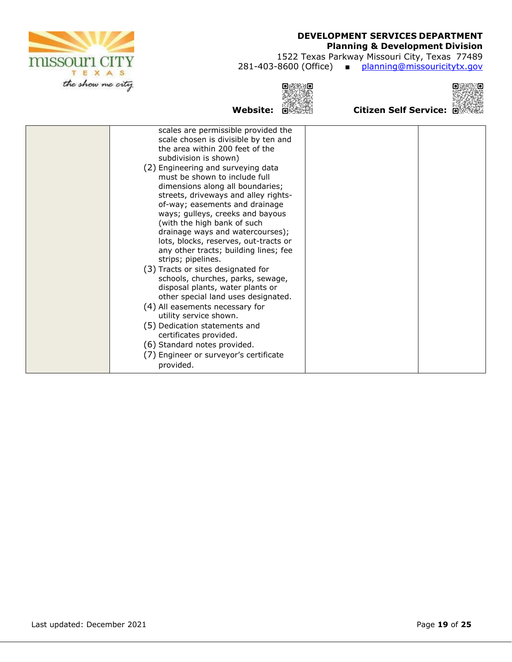

### **Planning & Development Division**

1522 Texas Parkway Missouri City, Texas 77489

281-403-8600 (Office) ■ planning@missouricitytx.gov

R **Website: Citizen Self Service:**

 $Q$  and  $Q$ 



| scales are permissible provided the<br>scale chosen is divisible by ten and<br>the area within 200 feet of the<br>subdivision is shown)<br>(2) Engineering and surveying data<br>must be shown to include full<br>dimensions along all boundaries;<br>streets, driveways and alley rights-<br>of-way; easements and drainage<br>ways; gulleys, creeks and bayous<br>(with the high bank of such<br>drainage ways and watercourses);<br>lots, blocks, reserves, out-tracts or<br>any other tracts; building lines; fee<br>strips; pipelines.<br>(3) Tracts or sites designated for<br>schools, churches, parks, sewage,<br>disposal plants, water plants or<br>other special land uses designated.<br>(4) All easements necessary for<br>utility service shown.<br>(5) Dedication statements and<br>certificates provided.<br>(6) Standard notes provided.<br>(7) Engineer or surveyor's certificate |           |  |
|-----------------------------------------------------------------------------------------------------------------------------------------------------------------------------------------------------------------------------------------------------------------------------------------------------------------------------------------------------------------------------------------------------------------------------------------------------------------------------------------------------------------------------------------------------------------------------------------------------------------------------------------------------------------------------------------------------------------------------------------------------------------------------------------------------------------------------------------------------------------------------------------------------|-----------|--|
|                                                                                                                                                                                                                                                                                                                                                                                                                                                                                                                                                                                                                                                                                                                                                                                                                                                                                                     |           |  |
|                                                                                                                                                                                                                                                                                                                                                                                                                                                                                                                                                                                                                                                                                                                                                                                                                                                                                                     | provided. |  |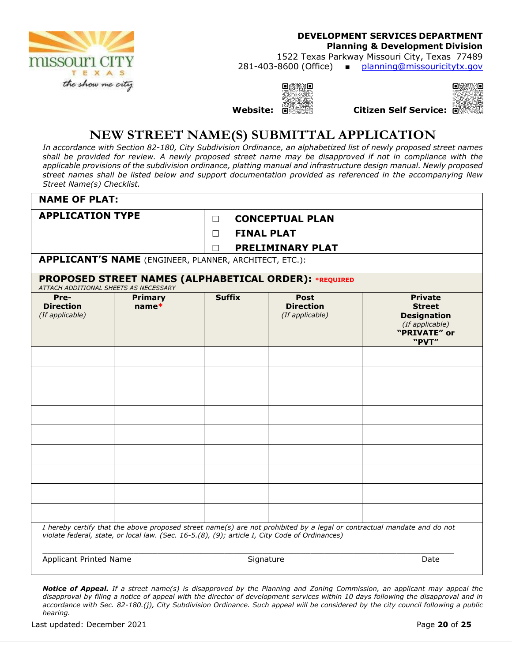

### **DEVELOPMENT SERVICES DEPARTMENT Planning & Development Division**  1522 Texas Parkway Missouri City, Texas 77489

281-403-8600 (Office) ■ planning@missouricitytx.gov

**Website: Citizen Self Service:**

同調



# **NEW STREET NAME(S) SUBMITTAL APPLICATION**

*In accordance with Section 82-180, City Subdivision Ordinance, an alphabetized list of newly proposed street names shall be provided for review. A newly proposed street name may be disapproved if not in compliance with the applicable provisions of the subdivision ordinance, platting manual and infrastructure design manual. Newly proposed street names shall be listed below and support documentation provided as referenced in the accompanying New Street Name(s) Checklist.* 

| <b>NAME OF PLAT:</b>                                                                                                                                                                                                      |                                                               |                             |                                                    |                                                                                                   |
|---------------------------------------------------------------------------------------------------------------------------------------------------------------------------------------------------------------------------|---------------------------------------------------------------|-----------------------------|----------------------------------------------------|---------------------------------------------------------------------------------------------------|
|                                                                                                                                                                                                                           | <b>APPLICATION TYPE</b><br><b>CONCEPTUAL PLAN</b><br>П.       |                             |                                                    |                                                                                                   |
|                                                                                                                                                                                                                           |                                                               | <b>FINAL PLAT</b><br>$\Box$ |                                                    |                                                                                                   |
|                                                                                                                                                                                                                           |                                                               | $\Box$                      | PRELIMINARY PLAT                                   |                                                                                                   |
|                                                                                                                                                                                                                           | <b>APPLICANT'S NAME</b> (ENGINEER, PLANNER, ARCHITECT, ETC.): |                             |                                                    |                                                                                                   |
| ATTACH ADDITIONAL SHEETS AS NECESSARY                                                                                                                                                                                     | PROPOSED STREET NAMES (ALPHABETICAL ORDER): *REQUIRED         |                             |                                                    |                                                                                                   |
| Pre-<br><b>Direction</b><br>(If applicable)                                                                                                                                                                               | <b>Primary</b><br>$name*$                                     | <b>Suffix</b>               | <b>Post</b><br><b>Direction</b><br>(If applicable) | <b>Private</b><br><b>Street</b><br><b>Designation</b><br>(If applicable)<br>"PRIVATE" or<br>"PVT" |
|                                                                                                                                                                                                                           |                                                               |                             |                                                    |                                                                                                   |
|                                                                                                                                                                                                                           |                                                               |                             |                                                    |                                                                                                   |
|                                                                                                                                                                                                                           |                                                               |                             |                                                    |                                                                                                   |
|                                                                                                                                                                                                                           |                                                               |                             |                                                    |                                                                                                   |
|                                                                                                                                                                                                                           |                                                               |                             |                                                    |                                                                                                   |
|                                                                                                                                                                                                                           |                                                               |                             |                                                    |                                                                                                   |
|                                                                                                                                                                                                                           |                                                               |                             |                                                    |                                                                                                   |
|                                                                                                                                                                                                                           |                                                               |                             |                                                    |                                                                                                   |
|                                                                                                                                                                                                                           |                                                               |                             |                                                    |                                                                                                   |
| I hereby certify that the above proposed street name(s) are not prohibited by a legal or contractual mandate and do not<br>violate federal, state, or local law. (Sec. 16-5.(8), (9); article I, City Code of Ordinances) |                                                               |                             |                                                    |                                                                                                   |
| <b>Applicant Printed Name</b>                                                                                                                                                                                             |                                                               | Signature                   |                                                    | Date                                                                                              |

*Notice of Appeal. If a street name(s) is disapproved by the Planning and Zoning Commission, an applicant may appeal the disapproval by filing a notice of appeal with the director of development services within 10 days following the disapproval and in accordance with Sec. 82-180.(j), City Subdivision Ordinance. Such appeal will be considered by the city council following a public hearing.* 

Last updated: December 2021 **Page 20** of 25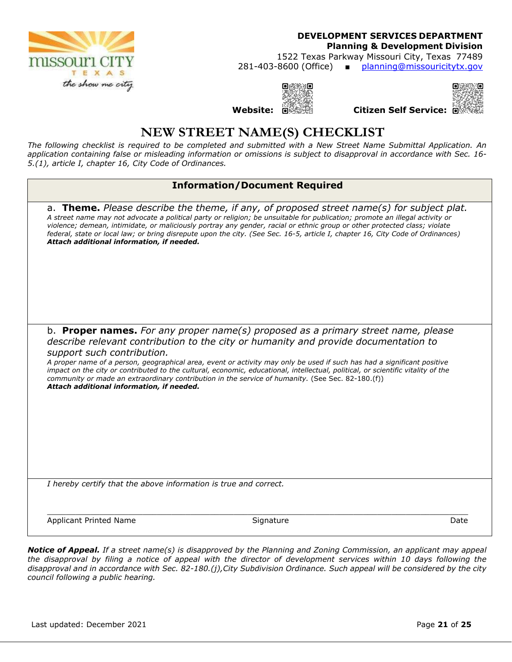

**Planning & Development Division** 

1522 Texas Parkway Missouri City, Texas 77489

281-403-8600 (Office) ■ planning@missouricitytx.gov

O.



**Website: Citizen Self Service:**

# **NEW STREET NAME(S) CHECKLIST**

*The following checklist is required to be completed and submitted with a New Street Name Submittal Application. An application containing false or misleading information or omissions is subject to disapproval in accordance with Sec. 16- 5.(1), article I, chapter 16, City Code of Ordinances.* 

| <b>Information/Document Required</b>                                                                                                        |                                                                                                                                                                                                                                                                                                                                                                                                                                                                                                                                                     |      |
|---------------------------------------------------------------------------------------------------------------------------------------------|-----------------------------------------------------------------------------------------------------------------------------------------------------------------------------------------------------------------------------------------------------------------------------------------------------------------------------------------------------------------------------------------------------------------------------------------------------------------------------------------------------------------------------------------------------|------|
| Attach additional information, if needed.                                                                                                   | a. <b>Theme.</b> Please describe the theme, if any, of proposed street name(s) for subject plat.<br>A street name may not advocate a political party or religion; be unsuitable for publication; promote an illegal activity or<br>violence; demean, intimidate, or maliciously portray any gender, racial or ethnic group or other protected class; violate<br>federal, state or local law; or bring disrepute upon the city. (See Sec. 16-5, article I, chapter 16, City Code of Ordinances)                                                      |      |
| support such contribution.<br>Attach additional information, if needed.<br>I hereby certify that the above information is true and correct. | b. <b>Proper names.</b> For any proper name(s) proposed as a primary street name, please<br>describe relevant contribution to the city or humanity and provide documentation to<br>A proper name of a person, geographical area, event or activity may only be used if such has had a significant positive<br>impact on the city or contributed to the cultural, economic, educational, intellectual, political, or scientific vitality of the<br>community or made an extraordinary contribution in the service of humanity. (See Sec. 82-180.(f)) |      |
|                                                                                                                                             |                                                                                                                                                                                                                                                                                                                                                                                                                                                                                                                                                     |      |
| <b>Applicant Printed Name</b>                                                                                                               | Signature                                                                                                                                                                                                                                                                                                                                                                                                                                                                                                                                           | Date |

*Notice of Appeal. If a street name(s) is disapproved by the Planning and Zoning Commission, an applicant may appeal the disapproval by filing a notice of appeal with the director of development services within 10 days following the disapproval and in accordance with Sec. 82-180.(j),City Subdivision Ordinance. Such appeal will be considered by the city council following a public hearing.*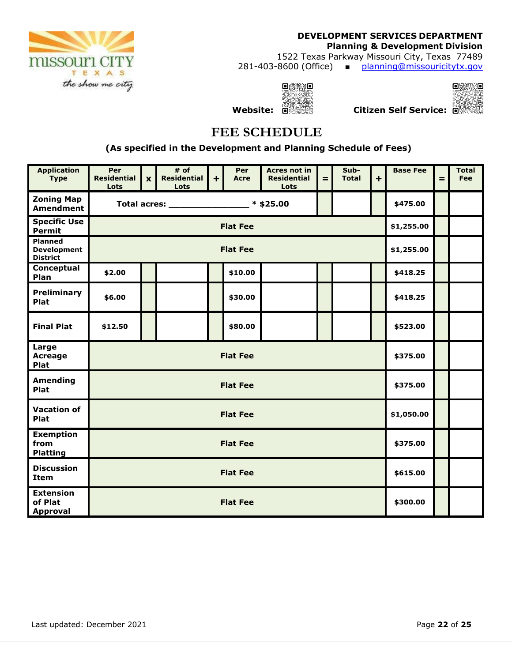

**Planning & Development Division** 

1522 Texas Parkway Missouri City, Texas 77489 281-403-8600 (Office) ■ planning@missouricitytx.gov

> $Q\otimes Q$ 33



**Website: Citizen Self Service:**

# **FEE SCHEDULE**

 **(As specified in the Development and Planning Schedule of Fees)** 

| <b>Application</b><br><b>Type</b>                | Per<br><b>Residential</b><br>Lots | $\boldsymbol{\mathsf{x}}$ | # of<br><b>Residential</b><br>Lots | $\ddot{}$ | Per<br><b>Acre</b> | <b>Acres not in</b><br><b>Residential</b><br>Lots | $=$        | Sub-<br><b>Total</b> | $+$ | <b>Base Fee</b> | $=$ | <b>Total</b><br>Fee |
|--------------------------------------------------|-----------------------------------|---------------------------|------------------------------------|-----------|--------------------|---------------------------------------------------|------------|----------------------|-----|-----------------|-----|---------------------|
| <b>Zoning Map</b><br><b>Amendment</b>            | Total acres: 	 * \$25.00          |                           |                                    |           |                    |                                                   |            | \$475.00             |     |                 |     |                     |
| <b>Specific Use</b><br><b>Permit</b>             | <b>Flat Fee</b>                   |                           |                                    |           |                    |                                                   |            | \$1,255.00           |     |                 |     |                     |
| Planned<br><b>Development</b><br><b>District</b> | <b>Flat Fee</b>                   |                           |                                    |           |                    |                                                   |            | \$1,255.00           |     |                 |     |                     |
| Conceptual<br>Plan                               | \$2.00                            |                           |                                    |           | \$10.00            |                                                   |            |                      |     | \$418.25        |     |                     |
| <b>Preliminary</b><br>Plat                       | \$6.00                            |                           |                                    |           | \$30.00            |                                                   |            |                      |     | \$418.25        |     |                     |
| <b>Final Plat</b>                                | \$12.50                           |                           |                                    |           | \$80.00            |                                                   |            |                      |     | \$523.00        |     |                     |
| Large<br>Acreage<br>Plat                         | <b>Flat Fee</b>                   |                           |                                    |           |                    |                                                   |            | \$375.00             |     |                 |     |                     |
| <b>Amending</b><br>Plat                          | <b>Flat Fee</b>                   |                           |                                    |           |                    |                                                   | \$375.00   |                      |     |                 |     |                     |
| <b>Vacation of</b><br>Plat                       | <b>Flat Fee</b>                   |                           |                                    |           |                    |                                                   | \$1,050.00 |                      |     |                 |     |                     |
| <b>Exemption</b><br>from<br><b>Platting</b>      | <b>Flat Fee</b>                   |                           |                                    |           |                    |                                                   | \$375.00   |                      |     |                 |     |                     |
| <b>Discussion</b><br><b>Item</b>                 | <b>Flat Fee</b>                   |                           |                                    |           |                    |                                                   | \$615.00   |                      |     |                 |     |                     |
| <b>Extension</b><br>of Plat<br><b>Approval</b>   | <b>Flat Fee</b>                   |                           |                                    |           |                    |                                                   | \$300.00   |                      |     |                 |     |                     |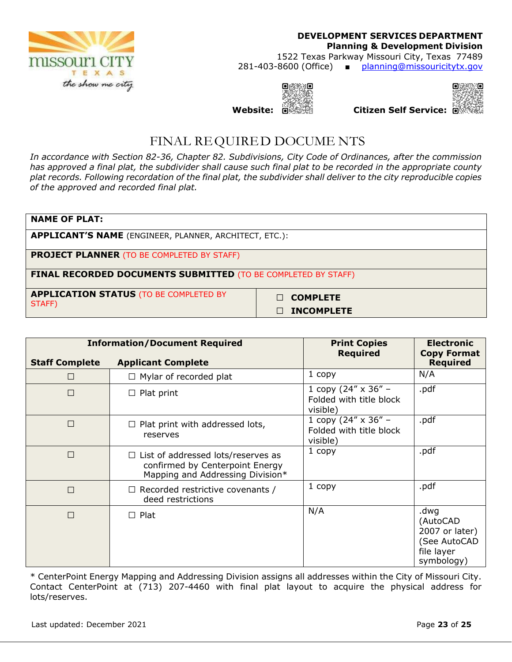

### **DEVELOPMENT SERVICES DEPARTMENT Planning & Development Division**  1522 Texas Parkway Missouri City, Texas 77489 281-403-8600 (Office) ■ planning@missouricitytx.gov

**Website: Citizen Self Service:**

同事

ាត



# FINAL REQUIRED DOCUME NTS

*In accordance with Section 82-36, Chapter 82. Subdivisions, City Code of Ordinances, after the commission has approved a final plat, the subdivider shall cause such final plat to be recorded in the appropriate county plat records. Following recordation of the final plat, the subdivider shall deliver to the city reproducible copies of the approved and recorded final plat.* 

| <b>NAME OF PLAT:</b>                                                 |                           |  |  |  |  |
|----------------------------------------------------------------------|---------------------------|--|--|--|--|
| <b>APPLICANT'S NAME</b> (ENGINEER, PLANNER, ARCHITECT, ETC.):        |                           |  |  |  |  |
| <b>PROJECT PLANNER</b> (TO BE COMPLETED BY STAFF)                    |                           |  |  |  |  |
| <b>FINAL RECORDED DOCUMENTS SUBMITTED</b> (TO BE COMPLETED BY STAFF) |                           |  |  |  |  |
| <b>APPLICATION STATUS (TO BE COMPLETED BY</b><br>STAFF)              | <b>COMPLETE</b><br>$\Box$ |  |  |  |  |

**□ INCOMPLETE** 

|                       | <b>Information/Document Required</b>                                                                             | <b>Print Copies</b>                                               | <b>Electronic</b>                                                              |  |
|-----------------------|------------------------------------------------------------------------------------------------------------------|-------------------------------------------------------------------|--------------------------------------------------------------------------------|--|
| <b>Staff Complete</b> | <b>Applicant Complete</b>                                                                                        | <b>Required</b>                                                   | <b>Copy Format</b><br><b>Required</b>                                          |  |
| □                     | $\Box$ Mylar of recorded plat                                                                                    | 1 copy                                                            | N/A                                                                            |  |
| $\Box$                | $\Box$ Plat print                                                                                                | 1 copy (24" $\times$ 36" –<br>Folded with title block<br>visible) | .pdf                                                                           |  |
| $\Box$                | $\Box$ Plat print with addressed lots,<br>reserves                                                               | 1 copy (24" $\times$ 36" –<br>Folded with title block<br>visible) | .pdf                                                                           |  |
| $\Box$                | $\Box$ List of addressed lots/reserves as<br>confirmed by Centerpoint Energy<br>Mapping and Addressing Division* | 1 copy                                                            | .pdf                                                                           |  |
| П                     | $\Box$ Recorded restrictive covenants /<br>deed restrictions                                                     | 1 copy                                                            | .pdf                                                                           |  |
| П                     | $\Box$ Plat                                                                                                      | N/A                                                               | .dwg<br>(AutoCAD<br>2007 or later)<br>(See AutoCAD<br>file layer<br>symbology) |  |

\* CenterPoint Energy Mapping and Addressing Division assigns all addresses within the City of Missouri City. Contact CenterPoint at (713) 207-4460 with final plat layout to acquire the physical address for lots/reserves.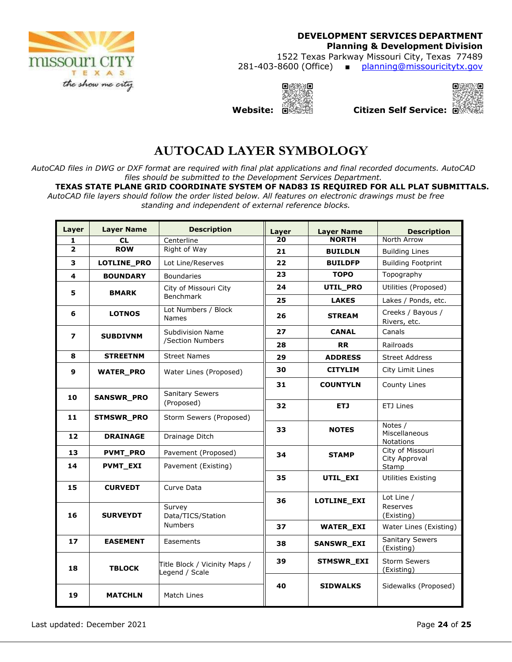

1522 Texas Parkway Missouri City, Texas 77489 281-403-8600 (Office) ■ planning@missouricitytx.gov

 $O(338.9)$ **Website: Citizen Self Service:**



**AUTOCAD LAYER SYMBOLOGY**

*AutoCAD files in DWG or DXF format are required with final plat applications and final recorded documents. AutoCAD files should be submitted to the Development Services Department.* 

**TEXAS STATE PLANE GRID COORDINATE SYSTEM OF NAD83 IS REQUIRED FOR ALL PLAT SUBMITTALS.**  *AutoCAD file layers should follow the order listed below. All features on electronic drawings must be free standing and independent of external reference blocks.*

| Layer                   | <b>Layer Name</b>  | <b>Description</b>                              | Layer | <b>Layer Name</b>                  | <b>Description</b>                |  |  |
|-------------------------|--------------------|-------------------------------------------------|-------|------------------------------------|-----------------------------------|--|--|
| 1                       | <b>CL</b>          | Centerline                                      | 20    | <b>NORTH</b>                       | North Arrow                       |  |  |
| $\overline{2}$          | <b>ROW</b>         | Right of Way                                    | 21    | <b>BUILDLN</b>                     | <b>Building Lines</b>             |  |  |
| 3                       | <b>LOTLINE PRO</b> | Lot Line/Reserves                               |       | <b>BUILDFP</b>                     | <b>Building Footprint</b>         |  |  |
| 4                       | <b>BOUNDARY</b>    | <b>Boundaries</b>                               | 23    | <b>TOPO</b>                        | Topography                        |  |  |
| 5<br><b>BMARK</b>       |                    | City of Missouri City<br>Benchmark              | 24    | UTIL_PRO                           | Utilities (Proposed)              |  |  |
|                         |                    |                                                 | 25    | <b>LAKES</b>                       | Lakes / Ponds, etc.               |  |  |
| 6                       | <b>LOTNOS</b>      | Lot Numbers / Block<br><b>Names</b>             | 26    | <b>STREAM</b>                      | Creeks / Bayous /<br>Rivers, etc. |  |  |
| $\overline{ }$          | <b>SUBDIVNM</b>    | <b>Subdivision Name</b>                         | 27    | <b>CANAL</b>                       | Canals                            |  |  |
|                         |                    | /Section Numbers                                | 28    | <b>RR</b>                          | Railroads                         |  |  |
| 8                       | <b>STREETNM</b>    | <b>Street Names</b>                             | 29    | <b>ADDRESS</b>                     | <b>Street Address</b>             |  |  |
| 9<br><b>WATER PRO</b>   |                    | Water Lines (Proposed)                          | 30    | <b>CITYLIM</b><br>City Limit Lines |                                   |  |  |
|                         |                    |                                                 | 31    | <b>COUNTYLN</b>                    | County Lines                      |  |  |
| 10                      | <b>SANSWR PRO</b>  | <b>Sanitary Sewers</b>                          |       |                                    |                                   |  |  |
|                         |                    | (Proposed)                                      | 32    | ETJ                                | ETJ Lines                         |  |  |
| 11<br><b>STMSWR PRO</b> |                    | Storm Sewers (Proposed)                         |       |                                    | Notes /                           |  |  |
| 12                      | <b>DRAINAGE</b>    | Drainage Ditch                                  | 33    | <b>NOTES</b>                       | Miscellaneous<br>Notations        |  |  |
| 13                      | <b>PVMT_PRO</b>    | Pavement (Proposed)                             | 34    | <b>STAMP</b>                       | City of Missouri                  |  |  |
| 14                      | <b>PVMT EXI</b>    | Pavement (Existing)                             |       |                                    | City Approval<br>Stamp            |  |  |
|                         |                    |                                                 | 35    | UTIL EXI                           | Utilities Existing                |  |  |
| 15                      | <b>CURVEDT</b>     | Curve Data                                      |       |                                    |                                   |  |  |
|                         |                    |                                                 | 36    | LOTLINE_EXI                        | Lot Line /                        |  |  |
| 16                      | <b>SURVEYDT</b>    | Survey<br>Data/TICS/Station                     |       |                                    | Reserves<br>(Existing)            |  |  |
|                         |                    | <b>Numbers</b>                                  | 37    | <b>WATER_EXI</b>                   | Water Lines (Existing)            |  |  |
|                         |                    |                                                 |       |                                    | <b>Sanitary Sewers</b>            |  |  |
| 17                      | <b>EASEMENT</b>    | Easements                                       | 38    | SANSWR_EXI                         | (Existing)                        |  |  |
| 18                      | <b>TBLOCK</b>      | Title Block / Vicinity Maps /<br>Legend / Scale | 39    | <b>STMSWR EXI</b>                  | <b>Storm Sewers</b><br>(Existing) |  |  |
| 19                      | <b>MATCHLN</b>     | Match Lines                                     | 40    | <b>SIDWALKS</b>                    | Sidewalks (Proposed)              |  |  |

Last updated: December 2021 Page **24** of **25**